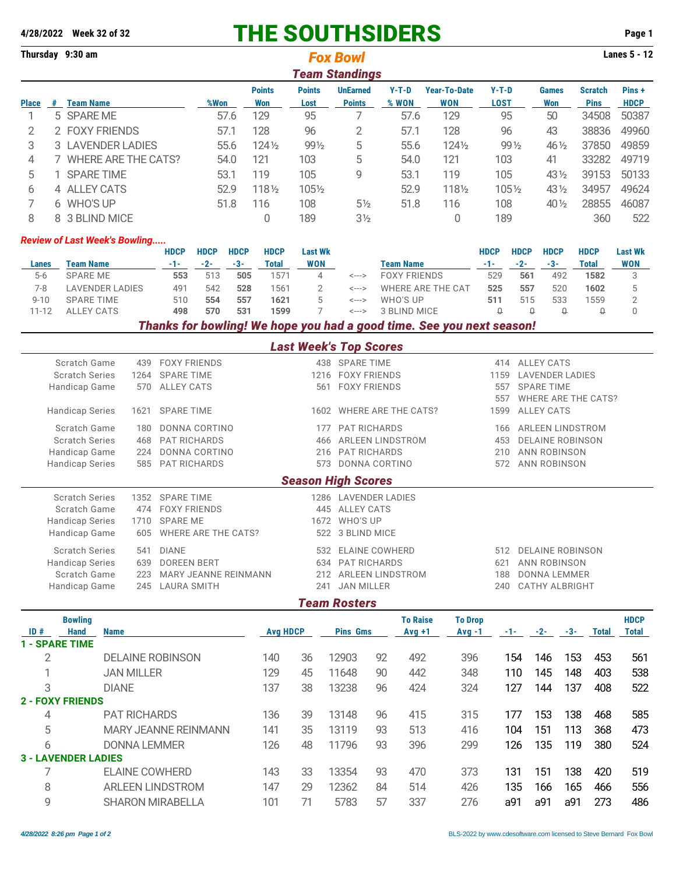|                       |   | 4/28/2022 Week 32 of 32                |                   |                      |                     |              |                  |                |                                 | <b>THE SOUTHSIDERS</b>  |                                                                       |                     |                     |                         |                                  | Page 1         |
|-----------------------|---|----------------------------------------|-------------------|----------------------|---------------------|--------------|------------------|----------------|---------------------------------|-------------------------|-----------------------------------------------------------------------|---------------------|---------------------|-------------------------|----------------------------------|----------------|
|                       |   | Thursday 9:30 am                       | <b>Fox Bowl</b>   |                      |                     |              |                  |                |                                 |                         |                                                                       |                     |                     |                         |                                  |                |
|                       |   |                                        |                   |                      |                     |              |                  |                | <b>Team Standings</b>           |                         |                                                                       |                     |                     |                         |                                  |                |
|                       |   |                                        |                   |                      |                     |              | <b>Points</b>    | <b>Points</b>  | <b>UnEarned</b>                 | $Y-T-D$                 | <b>Year-To-Date</b>                                                   | $Y-T-D$             |                     | <b>Games</b>            | <b>Scratch</b>                   | Pins+          |
| <b>Place</b>          |   | # Team Name                            |                   |                      | %Won                |              | <b>Won</b>       | Lost           | <b>Points</b>                   | % WON                   | <b>WON</b>                                                            | <b>LOST</b>         |                     | <b>Won</b>              | <b>Pins</b>                      | <b>HDCP</b>    |
| 1                     |   | 5 SPARE ME                             |                   |                      | 57.6                |              | 129<br>95        |                | 7                               | 57.6<br>129             |                                                                       |                     | 95                  | 50                      | 34508                            | 50387          |
| $\mathbf{2}$          |   | 2 FOXY FRIENDS                         |                   |                      |                     | 57.1         | 128              | 96             | $\overline{2}$                  | 57.1                    | 128                                                                   |                     | 96                  | 43                      | 38836                            | 49960          |
| 3                     |   | 3 LAVENDER LADIES                      |                   |                      |                     | 55.6         | $124\frac{1}{2}$ | 991/2          | 5                               | 55.6                    | 1241/2                                                                |                     | 99 1/2              | 46 1/2                  | 37850                            | 49859          |
| 4                     |   | 7 WHERE ARE THE CATS?                  |                   |                      |                     | 54.0         | 121              | 103            | 5                               | 54.0                    | 121                                                                   | 103                 |                     | 41                      | 33282                            | 49719          |
| 5                     |   | 1 SPARE TIME                           |                   |                      |                     | 53.1         | 119              | 105            | 9                               | 53.1                    | 119                                                                   | 105                 |                     | 43 1/2                  | 39153                            | 50133          |
| 6                     |   | 4 ALLEY CATS                           |                   |                      |                     | 52.9         | 1181/2           | 1051/2         |                                 | 52.9                    | 1181/2                                                                |                     | 1051/2              | 43 1/2                  | 34957                            | 49624          |
| 7                     |   | 6 WHO'S UP                             |                   |                      |                     | 51.8         | 116              | 108            | $5\frac{1}{2}$                  | 51.8                    | 116                                                                   | 108                 |                     | 40 1/2                  | 28855                            | 46087          |
| 8                     | 8 | 3 BLIND MICE                           |                   |                      |                     |              | $\overline{0}$   | 189            | 3 <sub>2</sub>                  |                         | 0                                                                     | 189                 |                     |                         | 360                              | 522            |
|                       |   | <b>Review of Last Week's Bowling</b>   |                   |                      |                     |              |                  |                |                                 |                         |                                                                       |                     |                     |                         |                                  |                |
|                       |   |                                        |                   | <b>HDCP</b>          | <b>HDCP</b>         | <b>HDCP</b>  | <b>HDCP</b>      | <b>Last Wk</b> |                                 |                         |                                                                       | <b>HDCP</b>         | <b>HDCP</b>         | <b>HDCP</b>             | <b>HDCP</b>                      | <b>Last Wk</b> |
| Lanes                 |   | <b>Team Name</b>                       |                   | $-1-$                | $-2-$               | $-3-$        | <b>Total</b>     | <b>WON</b>     |                                 | <b>Team Name</b>        |                                                                       | $-1-$               | $-2-$               | $-3-$                   | <b>Total</b>                     | <b>WON</b>     |
| $5-6$                 |   | <b>SPARE ME</b>                        |                   | 553                  | 513                 | 505          | 1571             | $\overline{4}$ | <--->                           | <b>FOXY FRIENDS</b>     |                                                                       | 529                 | 561                 | 492                     | 1582                             | 3              |
| $7 - 8$               |   | <b>LAVENDER LADIES</b>                 | 491               | 542                  | 528                 | 1561         | 2                | <--->          | <b>WHERE ARE THE CAT</b>        |                         | 525                                                                   | 557                 | 520                 | 1602                    | 5                                |                |
| $9 - 10$<br>$11 - 12$ |   | <b>SPARE TIME</b><br><b>ALLEY CATS</b> | 510<br>498        | 554<br>570           | 557<br>531          | 1621<br>1599 | 5<br>7           | <---><br><---> | <b>WHO'S UP</b><br>3 BLIND MICE |                         | 511<br>$\Omega$                                                       | 515<br>$\Omega$     | 533<br>$\mathbf{Q}$ | 1559<br>$\Omega$        | $\overline{2}$<br>$\overline{0}$ |                |
|                       |   |                                        |                   |                      |                     |              |                  |                |                                 |                         | Thanks for bowling! We hope you had a good time. See you next season! |                     |                     |                         |                                  |                |
|                       |   |                                        |                   |                      |                     |              |                  |                | <b>Last Week's Top Scores</b>   |                         |                                                                       |                     |                     |                         |                                  |                |
|                       |   | Scratch Game                           | 439               | <b>FOXY FRIENDS</b>  |                     |              |                  |                | 438 SPARE TIME                  |                         |                                                                       | 414                 |                     | <b>ALLEY CATS</b>       |                                  |                |
|                       |   | <b>Scratch Series</b>                  | 1264              | <b>SPARE TIME</b>    |                     |              |                  |                | 1216 FOXY FRIENDS               |                         |                                                                       | 1159                |                     | <b>LAVENDER LADIES</b>  |                                  |                |
|                       |   | Handicap Game                          | 570               | <b>ALLEY CATS</b>    |                     |              |                  |                | 561 FOXY FRIENDS                |                         |                                                                       | 557                 |                     | <b>SPARE TIME</b>       |                                  |                |
|                       |   |                                        |                   |                      |                     |              |                  |                |                                 |                         |                                                                       | 557                 |                     |                         | <b>WHERE ARE THE CATS?</b>       |                |
|                       |   | <b>Handicap Series</b>                 | <b>SPARE TIME</b> |                      |                     |              | 1602             |                | <b>WHERE ARE THE CATS?</b>      |                         |                                                                       | 1599                | <b>ALLEY CATS</b>   |                         |                                  |                |
|                       |   | Scratch Game                           | 180               | <b>DONNA CORTINO</b> |                     |              |                  | 177            | <b>PAT RICHARDS</b>             |                         |                                                                       | 166                 |                     |                         | <b>ARLEEN LINDSTROM</b>          |                |
|                       |   | <b>Scratch Series</b>                  | 468               | <b>PAT RICHARDS</b>  |                     |              |                  | 466            |                                 | <b>ARLEEN LINDSTROM</b> |                                                                       | 453                 |                     | <b>DELAINE ROBINSON</b> |                                  |                |
|                       |   | Handicap Game                          | 224               | <b>DONNA CORTINO</b> |                     |              |                  | 216            | <b>PAT RICHARDS</b>             | 210                     |                                                                       | <b>ANN ROBINSON</b> |                     |                         |                                  |                |
|                       |   | <b>Handicap Series</b>                 | 585               |                      | <b>PAT RICHARDS</b> |              |                  | 573            | DONNA CORTINO                   | 572                     | <b>ANN ROBINSON</b>                                                   |                     |                     |                         |                                  |                |

## *Season High Scores*

| <b>OCASUIL FIIUIL OCULES</b> |     |                          |     |                      |      |                      |  |  |  |  |  |  |  |
|------------------------------|-----|--------------------------|-----|----------------------|------|----------------------|--|--|--|--|--|--|--|
| <b>Scratch Series</b>        |     | 1352 SPARE TIME          |     | 1286 LAVENDER LADIES |      |                      |  |  |  |  |  |  |  |
| Scratch Game                 |     | 474 FOXY FRIENDS         |     | 445 ALLEY CATS       |      |                      |  |  |  |  |  |  |  |
| <b>Handicap Series</b>       |     | 1710 SPARE ME            |     | 1672 WHO'S UP        |      |                      |  |  |  |  |  |  |  |
| Handicap Game                |     | 605 WHERE ARE THE CATS?  |     | 522 3 BLIND MICE     |      |                      |  |  |  |  |  |  |  |
| <b>Scratch Series</b>        |     | 541 DIANE                |     | 532 ELAINE COWHERD   |      | 512 DELAINE ROBINSON |  |  |  |  |  |  |  |
| <b>Handicap Series</b>       | 639 | <b>DOREEN BERT</b>       |     | 634 PAT RICHARDS     | 621  | ANN ROBINSON         |  |  |  |  |  |  |  |
| Scratch Game                 |     | 223 MARY JEANNE REINMANN |     | 212 ARLEEN LINDSTROM | 188. | DONNA LEMMER         |  |  |  |  |  |  |  |
| Handicap Game                |     | 245 LAURA SMITH          | 241 | JAN MILLER           |      | 240 CATHY ALBRIGHT   |  |  |  |  |  |  |  |
|                              |     |                          |     |                      |      |                      |  |  |  |  |  |  |  |

## *Team Rosters*

|     | <b>Bowling</b>             |                             |                 |    |                 |    | <b>To Raise</b> | <b>To Drop</b> |     |       |       |       | <b>HDCP</b>  |
|-----|----------------------------|-----------------------------|-----------------|----|-----------------|----|-----------------|----------------|-----|-------|-------|-------|--------------|
| ID# | <b>Hand</b>                | <b>Name</b>                 | <b>Avg HDCP</b> |    | <b>Pins Gms</b> |    | $Avg +1$        | $Avq -1$       | -1- | $-2-$ | $-3-$ | Total | <b>Total</b> |
|     | <b>1 - SPARE TIME</b>      |                             |                 |    |                 |    |                 |                |     |       |       |       |              |
| 2   |                            | <b>DELAINE ROBINSON</b>     | 140             | 36 | 12903           | 92 | 492             | 396            | 154 | 146   | 153   | 453   | 561          |
|     |                            | <b>JAN MILLER</b>           | 129             | 45 | 11648           | 90 | 442             | 348            | 110 | 145   | 148   | 403   | 538          |
| 3   |                            | <b>DIANE</b>                | 137             | 38 | 13238           | 96 | 424             | 324            | 127 | 144   | 137   | 408   | 522          |
|     | <b>2 - FOXY FRIENDS</b>    |                             |                 |    |                 |    |                 |                |     |       |       |       |              |
| 4   |                            | <b>PAT RICHARDS</b>         | 136             | 39 | 13148           | 96 | 415             | 315            | 177 | 153   | 138   | 468   | 585          |
| 5   |                            | <b>MARY JEANNE REINMANN</b> | 141             | 35 | 13119           | 93 | 513             | 416            | 104 | 151   | 113   | 368   | 473          |
| 6   |                            | DONNA LEMMER                | 126             | 48 | 11796           | 93 | 396             | 299            | 126 | 135   | 119   | 380   | 524          |
|     | <b>3 - LAVENDER LADIES</b> |                             |                 |    |                 |    |                 |                |     |       |       |       |              |
|     |                            | <b>ELAINE COWHERD</b>       | 143             | 33 | 13354           | 93 | 470             | 373            | 131 | 151   | 138   | 420   | 519          |
| 8   |                            | <b>ARLEEN LINDSTROM</b>     | 147             | 29 | 12362           | 84 | 514             | 426            | 135 | 166   | 165   | 466   | 556          |
| 9   |                            | <b>SHARON MIRABELLA</b>     | 101             | 71 | 5783            | 57 | 337             | 276            | a91 | a91   | a91   | 273   | 486          |